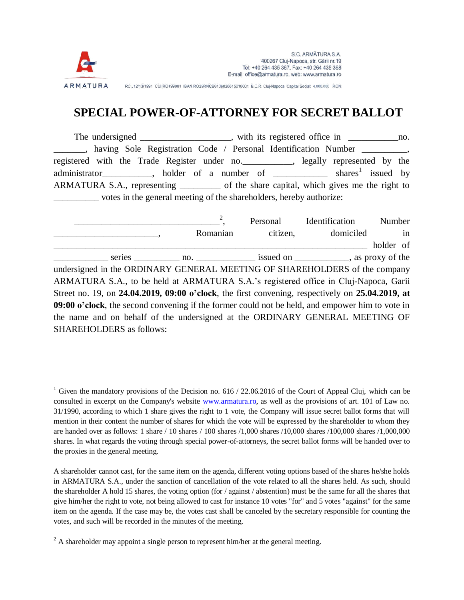

 $\overline{a}$ 

RC J12/13/1991 CUI RO199001 IBAN RO29RNCB0106026615010001 B.C.R. Cluj-Napoca Capital Social: 4.000.000 RON

## **SPECIAL POWER-OF-ATTORNEY FOR SECRET BALLOT**

The undersigned \_\_\_\_\_\_\_\_\_\_\_\_\_\_\_, with its registered office in \_\_\_\_\_\_\_\_\_\_\_\_\_\_\_no. \_\_\_\_\_\_\_, having Sole Registration Code / Personal Identification Number \_\_\_\_\_\_\_\_\_\_, registered with the Trade Register under no.\_\_\_\_\_\_\_\_\_\_\_, legally represented by the administrator\_\_\_\_\_\_\_\_\_, holder of a number of  $\frac{1}{\sqrt{1-\frac{1}{n}} \cdot \frac{1}{n}}$  shares<sup>1</sup> issued by ARMATURA S.A., representing of the share capital, which gives me the right to \_\_\_\_\_\_\_\_\_\_ votes in the general meeting of the shareholders, hereby authorize:

\_\_\_\_\_\_\_\_\_\_\_\_\_\_\_\_\_\_\_\_\_\_\_\_\_\_\_\_\_\_\_\_ 2 Personal Identification Number \_\_\_\_\_\_\_\_\_\_\_\_\_\_\_\_\_\_\_\_\_\_\_, Romanian citizen, domiciled in holder of series no. 19 no. 19 issued on 3.5 as proxy of the undersigned in the ORDINARY GENERAL MEETING OF SHAREHOLDERS of the company ARMATURA S.A., to be held at ARMATURA S.A.'s registered office in Cluj-Napoca, Garii Street no. 19, on **24.04.2019, 09:00 o'clock**, the first convening, respectively on **25.04.2019, at 09:00 o'clock**, the second convening if the former could not be held, and empower him to vote in the name and on behalf of the undersigned at the ORDINARY GENERAL MEETING OF SHAREHOLDERS as follows:

Given the mandatory provisions of the Decision no. 616 / 22.06.2016 of the Court of Appeal Cluj, which can be consulted in excerpt on the Company's website [www.armatura.ro,](http://www.armatura.ro/) as well as the provisions of art. 101 of Law no. 31/1990, according to which 1 share gives the right to 1 vote, the Company will issue secret ballot forms that will mention in their content the number of shares for which the vote will be expressed by the shareholder to whom they are handed over as follows: 1 share / 10 shares / 100 shares /1,000 shares /10,000 shares /100,000 shares /1,000,000 shares. In what regards the voting through special power-of-attorneys, the secret ballot forms will be handed over to the proxies in the general meeting.

A shareholder cannot cast, for the same item on the agenda, different voting options based of the shares he/she holds in ARMATURA S.A., under the sanction of cancellation of the vote related to all the shares held. As such, should the shareholder A hold 15 shares, the voting option (for / against / abstention) must be the same for all the shares that give him/her the right to vote, not being allowed to cast for instance 10 votes "for" and 5 votes "against" for the same item on the agenda. If the case may be, the votes cast shall be canceled by the secretary responsible for counting the votes, and such will be recorded in the minutes of the meeting.

 $2A$  shareholder may appoint a single person to represent him/her at the general meeting.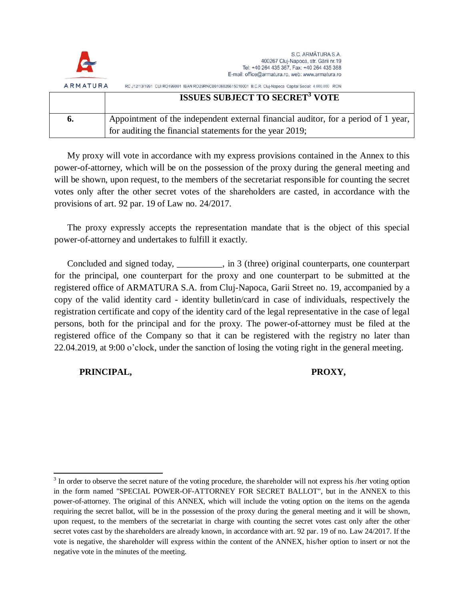| <b>G</b>        | S.C. ARMĂTURA S.A.<br>400267 Cluj-Napoca, str. Gării nr.19<br>Tel: +40 264 435 367, Fax: +40 264 435 368<br>E-mail: office@armatura.ro, web: www.armatura.ro |
|-----------------|--------------------------------------------------------------------------------------------------------------------------------------------------------------|
| <b>ARMATURA</b> | RC J12/13/1991 CUI RO199001 IBAN RO29RNCB0106026615010001 B.C.R. Cluj-Napoca Capital Social: 4.000.000 RON                                                   |
|                 | <b>ISSUES SUBJECT TO SECRET' VOTE</b>                                                                                                                        |
| o.              | Appointment of the independent external financial auditor, for a period of 1 year,                                                                           |

for auditing the financial statements for the year 2019;

My proxy will vote in accordance with my express provisions contained in the Annex to this power-of-attorney, which will be on the possession of the proxy during the general meeting and will be shown, upon request, to the members of the secretariat responsible for counting the secret votes only after the other secret votes of the shareholders are casted, in accordance with the provisions of art. 92 par. 19 of Law no. 24/2017.

The proxy expressly accepts the representation mandate that is the object of this special power-of-attorney and undertakes to fulfill it exactly.

Concluded and signed today, \_\_\_\_\_\_\_\_\_\_, in 3 (three) original counterparts, one counterpart for the principal, one counterpart for the proxy and one counterpart to be submitted at the registered office of ARMATURA S.A. from Cluj-Napoca, Garii Street no. 19, accompanied by a copy of the valid identity card - identity bulletin/card in case of individuals, respectively the registration certificate and copy of the identity card of the legal representative in the case of legal persons, both for the principal and for the proxy. The power-of-attorney must be filed at the registered office of the Company so that it can be registered with the registry no later than 22.04.2019, at 9:00 o'clock, under the sanction of losing the voting right in the general meeting.

 **PRINCIPAL, PROXY,**

 $\overline{a}$  $3$  In order to observe the secret nature of the voting procedure, the shareholder will not express his /her voting option in the form named "SPECIAL POWER-OF-ATTORNEY FOR SECRET BALLOT", but in the ANNEX to this power-of-attorney. The original of this ANNEX, which will include the voting option on the items on the agenda requiring the secret ballot, will be in the possession of the proxy during the general meeting and it will be shown, upon request, to the members of the secretariat in charge with counting the secret votes cast only after the other secret votes cast by the shareholders are already known, in accordance with art. 92 par. 19 of no. Law 24/2017. If the vote is negative, the shareholder will express within the content of the ANNEX, his/her option to insert or not the negative vote in the minutes of the meeting.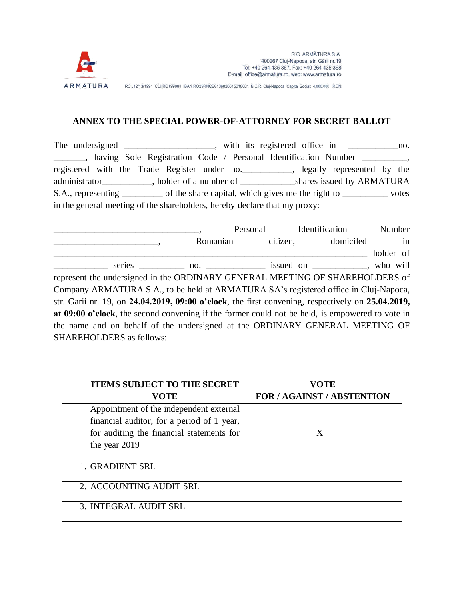

RC J12/13/1991 CUI RO199001 IBAN RO29RNCB0106026615010001 B.C.R. Cluj-Napoca Capital Social: 4.000.000 RON

## **ANNEX TO THE SPECIAL POWER-OF-ATTORNEY FOR SECRET BALLOT**

The undersigned \_\_\_\_\_\_\_\_\_\_\_\_\_\_, with its registered office in \_\_\_\_\_\_\_\_\_\_\_\_\_\_\_no. \_\_\_\_\_\_\_, having Sole Registration Code / Personal Identification Number \_\_\_\_\_\_\_\_\_\_, registered with the Trade Register under no.\_\_\_\_\_\_\_\_\_\_\_, legally represented by the administrator\_\_\_\_\_\_\_\_\_\_\_, holder of a number of \_\_\_\_\_\_\_\_\_\_\_\_shares issued by ARMATURA S.A., representing \_\_\_\_\_\_\_\_\_ of the share capital, which gives me the right to \_\_\_\_\_\_\_\_\_\_\_ votes in the general meeting of the shareholders, hereby declare that my proxy:

|                                                                                                   | Personal                                                                      |          | Identification | Number    |  |  |
|---------------------------------------------------------------------------------------------------|-------------------------------------------------------------------------------|----------|----------------|-----------|--|--|
|                                                                                                   | Romanian                                                                      | citizen, | domiciled      | in        |  |  |
|                                                                                                   |                                                                               |          |                | holder of |  |  |
|                                                                                                   | series ______________ no. _________________ issued on _____________, who will |          |                |           |  |  |
| represent the undersigned in the ORDINARY GENERAL MEETING OF SHAREHOLDERS of                      |                                                                               |          |                |           |  |  |
| Company ARMATURA S.A., to be held at ARMATURA SA's registered office in Cluj-Napoca,              |                                                                               |          |                |           |  |  |
| str. Garii nr. 19, on 24.04.2019, 09:00 o'clock, the first convening, respectively on 25.04.2019, |                                                                               |          |                |           |  |  |
| at 09:00 o'clock, the second convening if the former could not be held, is empowered to vote in   |                                                                               |          |                |           |  |  |
| the name and on behalf of the undersigned at the ORDINARY GENERAL MEETING OF                      |                                                                               |          |                |           |  |  |
| <b>SHAREHOLDERS</b> as follows:                                                                   |                                                                               |          |                |           |  |  |

|                | <b>ITEMS SUBJECT TO THE SECRET</b><br><b>VOTE</b>                                                                                                   | <b>VOTE</b><br><b>FOR / AGAINST / ABSTENTION</b> |
|----------------|-----------------------------------------------------------------------------------------------------------------------------------------------------|--------------------------------------------------|
|                | Appointment of the independent external<br>financial auditor, for a period of 1 year,<br>for auditing the financial statements for<br>the year 2019 | X                                                |
|                | <b>GRADIENT SRL</b>                                                                                                                                 |                                                  |
|                | 2. ACCOUNTING AUDIT SRL                                                                                                                             |                                                  |
| 3 <sup>1</sup> | <b>INTEGRAL AUDIT SRL</b>                                                                                                                           |                                                  |